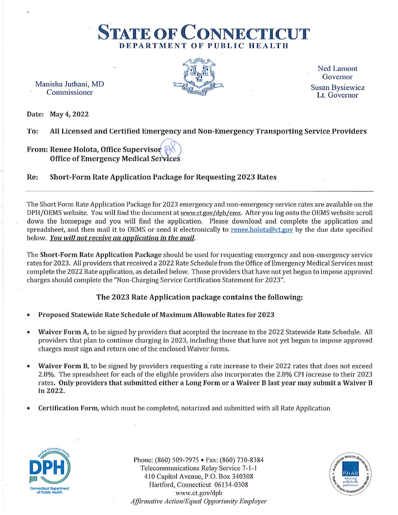Manisha Juthani, MD Commissioner



DEPARTMENT OF PUBLIC HEALTH

**STATE OF CONNECTIO** 

**Ned Lamont** Governor **Susan Bysiewicz** Lt Governor

Date: May 4, 2022

To: All Licensed and Certified Emergency and Non-Emergency Transporting Service Providers

### From: Renee Holota, Office Supervisor **Office of Emergency Medical Services**

Short-Form Rate Application Package for Requesting 2023 Rates Re:

The Short Form Rate Application Package for 2023 emergency and non-emergency service rates are available on the DPH/OEMS website. You will find the document at www.ct.gov/dph/ems. After you log onto the OEMS website scroll down the homepage and you will find the application. Please download and complete the application and spreadsheet, and then mail it to OEMS or send it electronically to renee.holota@ct.gov by the due date specified below. You will not receive an application in the mail.

The Short-Form Rate Application Package should be used for requesting emergency and non-emergency service rates for 2023. All providers that received a 2022 Rate Schedule from the Office of Emergency Medical Services must complete the 2022 Rate application, as detailed below. Those providers that have not yet begun to impose approved charges should complete the "Non-Charging Service Certification Statement for 2023".

### The 2023 Rate Application package contains the following:

- Proposed Statewide Rate Schedule of Maximum Allowable Rates for 2023
- Waiver Form A, to be signed by providers that accepted the increase to the 2022 Statewide Rate Schedule. All providers that plan to continue charging in 2023, including those that have not yet begun to impose approved charges must sign and return one of the enclosed Waiver forms.
- Waiver Form B, to be signed by providers requesting a rate increase to their 2022 rates that does not exceed 2.8%. The spreadsheet for each of the eligible providers also incorporates the 2.8% CPI increase to their 2023 rates. Only providers that submitted either a Long Form or a Waiver B last year may submit a Waiver B in 2022.
- Certification Form, which must be completed, notarized and submitted with all Rate Application



Phone: (860) 509-7975 • Fax: (860) 730-8384 Telecommunications Relay Service 7-1-1 410 Capitol Avenue, P.O. Box 340308 Hartford, Connecticut 06134-0308 www.ct.gov/dph **Affirmative Action/Equal Opportunity Employer** 

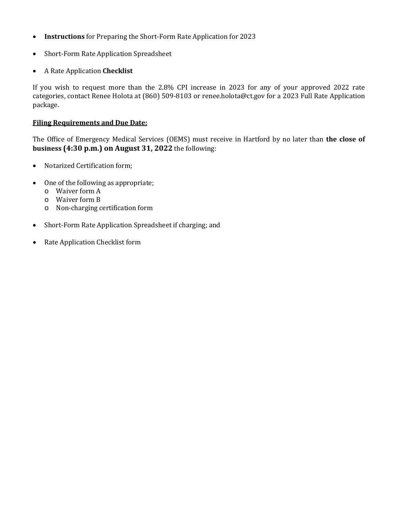- **Instructions** for Preparing the Short-Form Rate Application for 2023
- Short-Form Rate Application Spreadsheet
- A Rate Application **Checklist**

If you wish to request more than the 2.8% CPI increase in 2023 for any of your approved 2022 rate categories, contact Renee Holota at (860) 509-8103 or renee.holota@ct.gov for a 2023 Full Rate Application package.

### **Filing Requirements and Due Date:**

The Office of Emergency Medical Services (OEMS) must receive in Hartford by no later than **the close of business (4:30 p.m.) on August 31, 2022** the following:

- Notarized Certification form;
- One of the following as appropriate;
	- o Waiver form A
	- o Waiver form B
	- o Non-charging certification form
- Short-Form Rate Application Spreadsheet if charging; and
- Rate Application Checklist form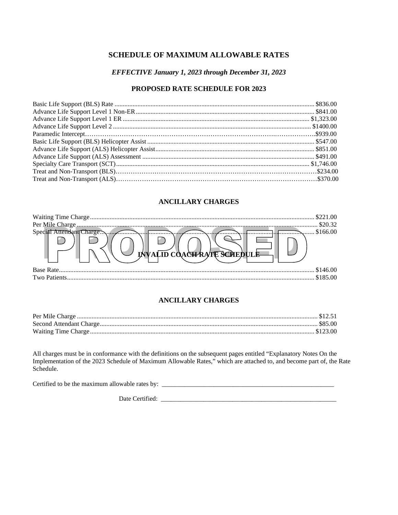### **SCHEDULE OF MAXIMUM ALLOWABLE RATES**

#### EFFECTIVE January 1, 2023 through December 31, 2023

### PROPOSED RATE SCHEDULE FOR 2023

### **ANCILLARY CHARGES**

|                                    | \$20.32  |
|------------------------------------|----------|
|                                    | \$166.00 |
| <b>INVALID COACH RATE SCREDULE</b> |          |
| Base Rate.                         | \$146.00 |
|                                    | \$185.00 |

### **ANCILLARY CHARGES**

All charges must be in conformance with the definitions on the subsequent pages entitled "Explanatory Notes On the Implementation of the 2023 Schedule of Maximum Allowable Rates," which are attached to, and become part of, Schedule.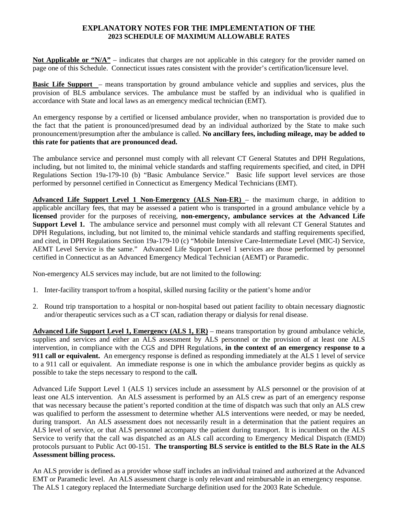### **EXPLANATORY NOTES FOR THE IMPLEMENTATION OF THE 2023 SCHEDULE OF MAXIMUM ALLOWABLE RATES**

**Not Applicable or "N/A"** – indicates that charges are not applicable in this category for the provider named on page one of this Schedule. Connecticut issues rates consistent with the provider's certification/licensure level.

**Basic Life Support** – means transportation by ground ambulance vehicle and supplies and services, plus the provision of BLS ambulance services. The ambulance must be staffed by an individual who is qualified in accordance with State and local laws as an emergency medical technician (EMT).

An emergency response by a certified or licensed ambulance provider, when no transportation is provided due to the fact that the patient is pronounced/presumed dead by an individual authorized by the State to make such pronouncement/presumption after the ambulance is called. **No ancillary fees, including mileage, may be added to this rate for patients that are pronounced dead.** 

The ambulance service and personnel must comply with all relevant CT General Statutes and DPH Regulations, including, but not limited to, the minimal vehicle standards and staffing requirements specified, and cited, in DPH Regulations Section 19a-179-10 (b) "Basic Ambulance Service." Basic life support level services are those performed by personnel certified in Connecticut as Emergency Medical Technicians (EMT).

**Advanced Life Support Level 1 Non-Emergency (ALS Non-ER)** – the maximum charge, in addition to applicable ancillary fees, that may be assessed a patient who is transported in a ground ambulance vehicle by a **licensed** provider for the purposes of receiving, **non-emergency, ambulance services at the Advanced Life Support Level 1.** The ambulance service and personnel must comply with all relevant CT General Statutes and DPH Regulations, including, but not limited to, the minimal vehicle standards and staffing requirements specified, and cited, in DPH Regulations Section 19a-179-10 (c) "Mobile Intensive Care-Intermediate Level (MIC-I) Service, AEMT Level Service is the same." Advanced Life Support Level 1 services are those performed by personnel certified in Connecticut as an Advanced Emergency Medical Technician (AEMT) or Paramedic.

Non-emergency ALS services may include, but are not limited to the following:

- 1. Inter-facility transport to/from a hospital, skilled nursing facility or the patient's home and/or
- 2. Round trip transportation to a hospital or non-hospital based out patient facility to obtain necessary diagnostic and/or therapeutic services such as a CT scan, radiation therapy or dialysis for renal disease.

**Advanced Life Support Level 1, Emergency (ALS 1, ER)** – means transportation by ground ambulance vehicle, supplies and services and either an ALS assessment by ALS personnel or the provision of at least one ALS intervention, in compliance with the CGS and DPH Regulations, **in the context of an emergency response to a 911 call or equivalent.** An emergency response is defined as responding immediately at the ALS 1 level of service to a 911 call or equivalent. An immediate response is one in which the ambulance provider begins as quickly as possible to take the steps necessary to respond to the cal**l.**

Advanced Life Support Level 1 (ALS 1) services include an assessment by ALS personnel or the provision of at least one ALS intervention. An ALS assessment is performed by an ALS crew as part of an emergency response that was necessary because the patient's reported condition at the time of dispatch was such that only an ALS crew was qualified to perform the assessment to determine whether ALS interventions were needed, or may be needed, during transport. An ALS assessment does not necessarily result in a determination that the patient requires an ALS level of service, or that ALS personnel accompany the patient during transport. It is incumbent on the ALS Service to verify that the call was dispatched as an ALS call according to Emergency Medical Dispatch (EMD) protocols pursuant to Public Act 00-151. **The transporting BLS service is entitled to the BLS Rate in the ALS Assessment billing process.** 

An ALS provider is defined as a provider whose staff includes an individual trained and authorized at the Advanced EMT or Paramedic level. An ALS assessment charge is only relevant and reimbursable in an emergency response. The ALS 1 category replaced the Intermediate Surcharge definition used for the 2003 Rate Schedule.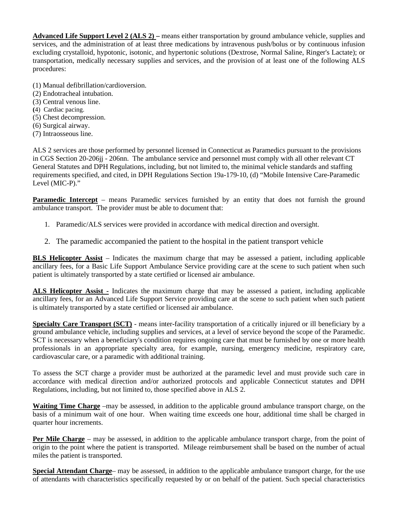**Advanced Life Support Level 2 (ALS 2) –** means either transportation by ground ambulance vehicle, supplies and services, and the administration of at least three medications by intravenous push/bolus or by continuous infusion excluding crystalloid, hypotonic, isotonic, and hypertonic solutions (Dextrose, Normal Saline, Ringer's Lactate); or transportation, medically necessary supplies and services, and the provision of at least one of the following ALS procedures:

- (1) Manual defibrillation/cardioversion.
- (2) Endotracheal intubation.
- (3) Central venous line.
- **(**4) Cardiac pacing.
- (5) Chest decompression.
- (6) Surgical airway.
- (7) Intraosseous line.

ALS 2 services are those performed by personnel licensed in Connecticut as Paramedics pursuant to the provisions in CGS Section 20-206jj - 206nn. The ambulance service and personnel must comply with all other relevant CT General Statutes and DPH Regulations, including, but not limited to, the minimal vehicle standards and staffing requirements specified, and cited, in DPH Regulations Section 19a-179-10, (d) "Mobile Intensive Care-Paramedic Level (MIC-P)."

**Paramedic Intercept** – means Paramedic services furnished by an entity that does not furnish the ground ambulance transport. The provider must be able to document that:

- 1. Paramedic/ALS services were provided in accordance with medical direction and oversight.
- 2. The paramedic accompanied the patient to the hospital in the patient transport vehicle

**BLS Helicopter Assist** – Indicates the maximum charge that may be assessed a patient, including applicable ancillary fees, for a Basic Life Support Ambulance Service providing care at the scene to such patient when such patient is ultimately transported by a state certified or licensed air ambulance.

**ALS Helicopter Assist -** Indicates the maximum charge that may be assessed a patient, including applicable ancillary fees, for an Advanced Life Support Service providing care at the scene to such patient when such patient is ultimately transported by a state certified or licensed air ambulance.

**Specialty Care Transport (SCT)** - means inter-facility transportation of a critically injured or ill beneficiary by a ground ambulance vehicle, including supplies and services, at a level of service beyond the scope of the Paramedic. SCT is necessary when a beneficiary's condition requires ongoing care that must be furnished by one or more health professionals in an appropriate specialty area, for example, nursing, emergency medicine, respiratory care, cardiovascular care, or a paramedic with additional training.

To assess the SCT charge a provider must be authorized at the paramedic level and must provide such care in accordance with medical direction and/or authorized protocols and applicable Connecticut statutes and DPH Regulations, including, but not limited to, those specified above in ALS 2.

**Waiting Time Charge** –may be assessed, in addition to the applicable ground ambulance transport charge, on the basis of a minimum wait of one hour. When waiting time exceeds one hour, additional time shall be charged in quarter hour increments.

**Per Mile Charge** – may be assessed, in addition to the applicable ambulance transport charge, from the point of origin to the point where the patient is transported. Mileage reimbursement shall be based on the number of actual miles the patient is transported.

**Special Attendant Charge**– may be assessed, in addition to the applicable ambulance transport charge, for the use of attendants with characteristics specifically requested by or on behalf of the patient. Such special characteristics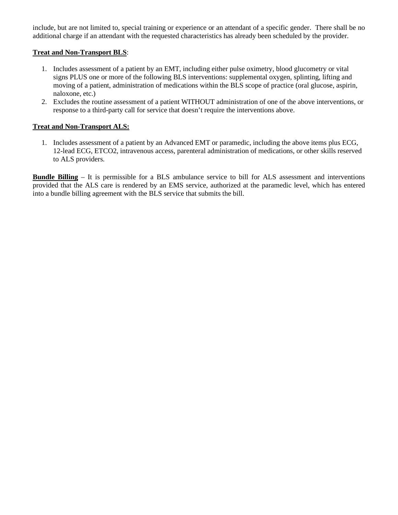include, but are not limited to, special training or experience or an attendant of a specific gender. There shall be no additional charge if an attendant with the requested characteristics has already been scheduled by the provider.

#### **Treat and Non-Transport BLS**:

- 1. Includes assessment of a patient by an EMT, including either pulse oximetry, blood glucometry or vital signs PLUS one or more of the following BLS interventions: supplemental oxygen, splinting, lifting and moving of a patient, administration of medications within the BLS scope of practice (oral glucose, aspirin, naloxone, etc.)
- 2. Excludes the routine assessment of a patient WITHOUT administration of one of the above interventions, or response to a third-party call for service that doesn't require the interventions above.

### **Treat and Non-Transport ALS:**

1. Includes assessment of a patient by an Advanced EMT or paramedic, including the above items plus ECG, 12-lead ECG, ETCO2, intravenous access, parenteral administration of medications, or other skills reserved to ALS providers.

**Bundle Billing** – It is permissible for a BLS ambulance service to bill for ALS assessment and interventions provided that the ALS care is rendered by an EMS service, authorized at the paramedic level, which has entered into a bundle billing agreement with the BLS service that submits the bill.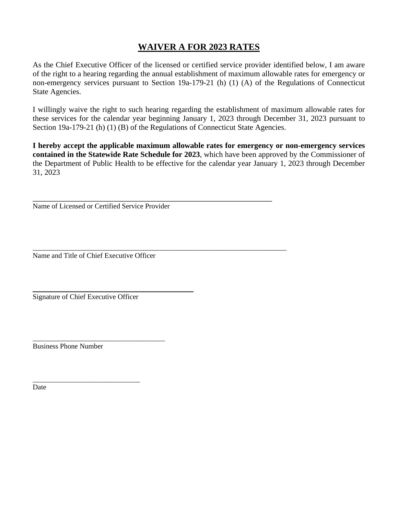# **WAIVER A FOR 2023 RATES**

As the Chief Executive Officer of the licensed or certified service provider identified below, I am aware of the right to a hearing regarding the annual establishment of maximum allowable rates for emergency or non-emergency services pursuant to Section 19a-179-21 (h) (1) (A) of the Regulations of Connecticut State Agencies.

I willingly waive the right to such hearing regarding the establishment of maximum allowable rates for these services for the calendar year beginning January 1, 2023 through December 31, 2023 pursuant to Section 19a-179-21 (h) (1) (B) of the Regulations of Connecticut State Agencies.

**I hereby accept the applicable maximum allowable rates for emergency or non-emergency services contained in the Statewide Rate Schedule for 2023**, which have been approved by the Commissioner of the Department of Public Health to be effective for the calendar year January 1, 2023 through December 31, 2023

\_\_\_\_\_\_\_\_\_\_\_\_\_\_\_\_\_\_\_\_\_\_\_\_\_\_\_\_\_\_\_\_\_\_\_\_\_\_\_\_\_\_\_\_\_\_\_\_\_\_\_\_\_\_\_\_\_\_\_\_\_\_\_\_\_\_\_ Name of Licensed or Certified Service Provider

\_\_\_\_\_\_\_\_\_\_\_\_\_\_\_\_\_\_\_\_\_\_\_\_\_\_\_\_\_\_\_\_\_\_\_\_\_\_\_\_\_\_\_\_\_\_\_\_\_\_\_\_\_\_\_\_\_\_\_\_\_\_\_\_\_\_\_\_\_\_\_ Name and Title of Chief Executive Officer

\_\_\_\_\_\_\_\_\_\_\_\_\_\_\_\_\_\_\_\_\_\_\_\_\_\_\_\_\_\_\_\_\_\_\_\_\_

\_\_\_\_\_\_\_\_\_\_\_\_\_\_\_\_\_\_\_\_\_\_\_\_\_\_\_\_\_\_\_\_\_\_\_\_\_\_\_\_\_\_\_\_\_

Signature of Chief Executive Officer

\_\_\_\_\_\_\_\_\_\_\_\_\_\_\_\_\_\_\_\_\_\_\_\_\_\_\_\_\_\_

Business Phone Number

Date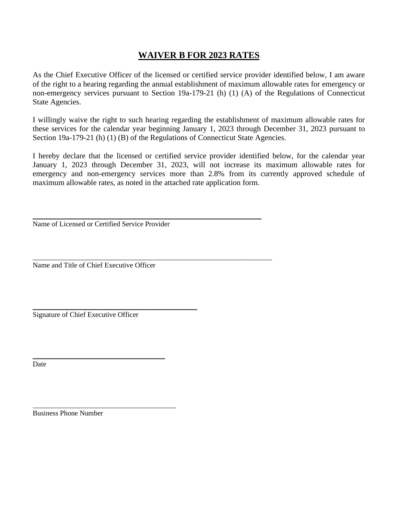# **WAIVER B FOR 2023 RATES**

As the Chief Executive Officer of the licensed or certified service provider identified below, I am aware of the right to a hearing regarding the annual establishment of maximum allowable rates for emergency or non-emergency services pursuant to Section 19a-179-21 (h) (1) (A) of the Regulations of Connecticut State Agencies.

I willingly waive the right to such hearing regarding the establishment of maximum allowable rates for these services for the calendar year beginning January 1, 2023 through December 31, 2023 pursuant to Section 19a-179-21 (h) (1) (B) of the Regulations of Connecticut State Agencies.

I hereby declare that the licensed or certified service provider identified below, for the calendar year January 1, 2023 through December 31, 2023, will not increase its maximum allowable rates for emergency and non-emergency services more than 2.8% from its currently approved schedule of maximum allowable rates, as noted in the attached rate application form.

\_\_\_\_\_\_\_\_\_\_\_\_\_\_\_\_\_\_\_\_\_\_\_\_\_\_\_\_\_\_\_\_\_\_\_\_\_\_\_\_\_\_\_\_\_\_\_\_\_\_\_\_\_\_\_\_\_\_\_\_\_\_\_\_ Name of Licensed or Certified Service Provider

\_\_\_\_\_\_\_\_\_\_\_\_\_\_\_\_\_\_\_\_\_\_\_\_\_\_\_\_\_\_\_\_\_\_\_\_\_\_\_\_\_\_\_\_\_\_\_\_\_\_\_\_\_\_\_\_\_\_\_\_\_\_\_\_\_\_\_

Name and Title of Chief Executive Officer

\_\_\_\_\_\_\_\_\_\_\_\_\_\_\_\_\_\_\_\_\_\_\_\_\_\_\_\_\_\_\_\_\_\_\_\_\_\_\_\_\_\_\_\_\_\_ Signature of Chief Executive Officer

\_\_\_\_\_\_\_\_\_\_\_\_\_\_\_\_\_\_\_\_\_\_\_\_\_\_\_\_\_\_\_\_\_\_\_\_\_

\_\_\_\_\_\_\_\_\_\_\_\_\_\_\_\_\_\_\_\_\_\_\_\_\_\_\_\_\_\_\_\_\_\_\_\_\_\_\_\_

Date

Business Phone Number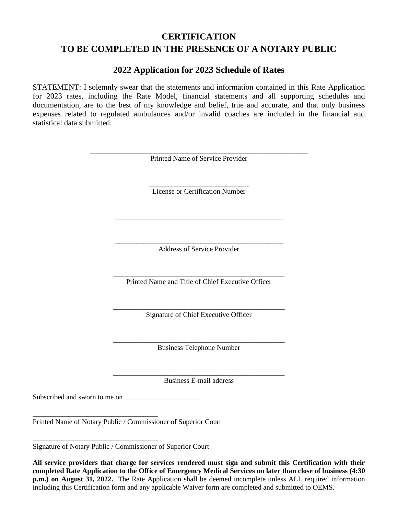# **CERTIFICATION TO BE COMPLETED IN THE PRESENCE OF A NOTARY PUBLIC**

### **2022 Application for 2023 Schedule of Rates**

STATEMENT: I solemnly swear that the statements and information contained in this Rate Application for 2023 rates, including the Rate Model, financial statements and all supporting schedules and documentation, are to the best of my knowledge and belief, true and accurate, and that only business expenses related to regulated ambulances and/or invalid coaches are included in the financial and statistical data submitted.

| Printed Name of Service Provider<br>License or Certification Number<br><b>Address of Service Provider</b><br>Printed Name and Title of Chief Executive Officer<br>Signature of Chief Executive Officer<br><b>Business Telephone Number</b><br><b>Business E-mail address</b> |  |
|------------------------------------------------------------------------------------------------------------------------------------------------------------------------------------------------------------------------------------------------------------------------------|--|
|                                                                                                                                                                                                                                                                              |  |
|                                                                                                                                                                                                                                                                              |  |
|                                                                                                                                                                                                                                                                              |  |
|                                                                                                                                                                                                                                                                              |  |
|                                                                                                                                                                                                                                                                              |  |
|                                                                                                                                                                                                                                                                              |  |
|                                                                                                                                                                                                                                                                              |  |
|                                                                                                                                                                                                                                                                              |  |
|                                                                                                                                                                                                                                                                              |  |

Printed Name of Notary Public / Commissioner of Superior Court

\_\_\_\_\_\_\_\_\_\_\_\_\_\_\_\_\_\_\_\_\_\_\_\_\_\_\_\_\_\_\_\_\_\_\_ Signature of Notary Public / Commissioner of Superior Court

**All service providers that charge for services rendered must sign and submit this Certification with their completed Rate Application to the Office of Emergency Medical Services no later than close of business (4:30 p.m.) on August 31, 2022.** The Rate Application shall be deemed incomplete unless ALL required information including this Certification form and any applicable Waiver form are completed and submitted to OEMS.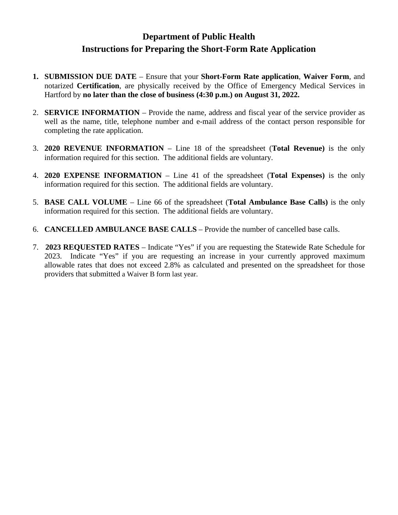# **Department of Public Health Instructions for Preparing the Short-Form Rate Application**

- **1. SUBMISSION DUE DATE** Ensure that your **Short-Form Rate application**, **Waiver Form**, and notarized **Certification**, are physically received by the Office of Emergency Medical Services in Hartford by **no later than the close of business (4:30 p.m.) on August 31, 2022.**
- 2. **SERVICE INFORMATION** Provide the name, address and fiscal year of the service provider as well as the name, title, telephone number and e-mail address of the contact person responsible for completing the rate application.
- 3. **2020 REVENUE INFORMATION** Line 18 of the spreadsheet (**Total Revenue)** is the only information required for this section. The additional fields are voluntary.
- 4. **2020 EXPENSE INFORMATION** Line 41 of the spreadsheet (**Total Expenses)** is the only information required for this section. The additional fields are voluntary.
- 5. **BASE CALL VOLUME** Line 66 of the spreadsheet (**Total Ambulance Base Calls)** is the only information required for this section. The additional fields are voluntary.
- 6. **CANCELLED AMBULANCE BASE CALLS** Provide the number of cancelled base calls.
- 7. **2023 REQUESTED RATES** Indicate "Yes" if you are requesting the Statewide Rate Schedule for 2023. Indicate "Yes" if you are requesting an increase in your currently approved maximum allowable rates that does not exceed 2.8% as calculated and presented on the spreadsheet for those providers that submitted a Waiver B form last year.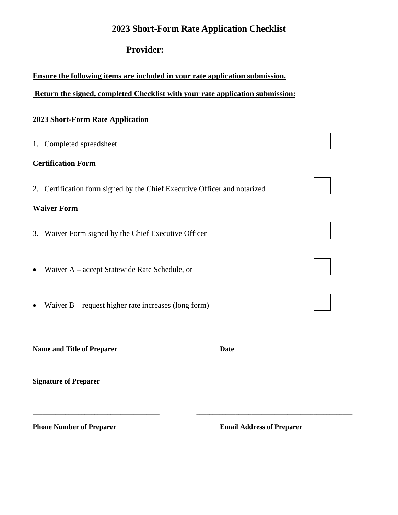## **2023 Short-Form Rate Application Checklist**

# Provider:

### **Ensure the following items are included in your rate application submission.**

### **Return the signed, completed Checklist with your rate application submission:**

### **2023 Short-Form Rate Application**

| Completed spreadsheet<br>1.                                                  |  |
|------------------------------------------------------------------------------|--|
| <b>Certification Form</b>                                                    |  |
| Certification form signed by the Chief Executive Officer and notarized<br>2. |  |
| <b>Waiver Form</b>                                                           |  |
| Waiver Form signed by the Chief Executive Officer<br>3.                      |  |
| Waiver A – accept Statewide Rate Schedule, or                                |  |
| Waiver $B$ – request higher rate increases (long form)                       |  |

**Name and Title of Preparer Date** 

\_\_\_\_\_\_\_\_\_\_\_\_\_\_\_\_\_\_\_\_\_\_\_\_\_\_\_\_\_\_\_\_\_\_\_\_\_\_\_

\_\_\_\_\_\_\_\_\_\_\_\_\_\_\_\_\_\_\_\_\_\_\_\_\_\_\_\_\_\_\_\_\_\_\_\_\_\_\_\_\_ \_\_\_\_\_\_\_\_\_\_\_\_\_\_\_\_\_\_\_\_\_\_\_\_\_\_\_

\_\_\_\_\_\_\_\_\_\_\_\_\_\_\_\_\_\_\_\_\_\_\_\_\_\_\_\_\_\_\_\_\_\_\_\_\_\_\_ \_\_\_\_\_\_\_\_\_\_\_\_\_\_\_\_\_\_\_\_\_\_\_\_\_\_\_\_\_\_\_\_\_\_\_\_\_\_\_\_\_\_\_\_\_\_\_\_

**Signature of Preparer**

**Phone Number of Preparer Email Address of Preparer Email Address of Preparer**